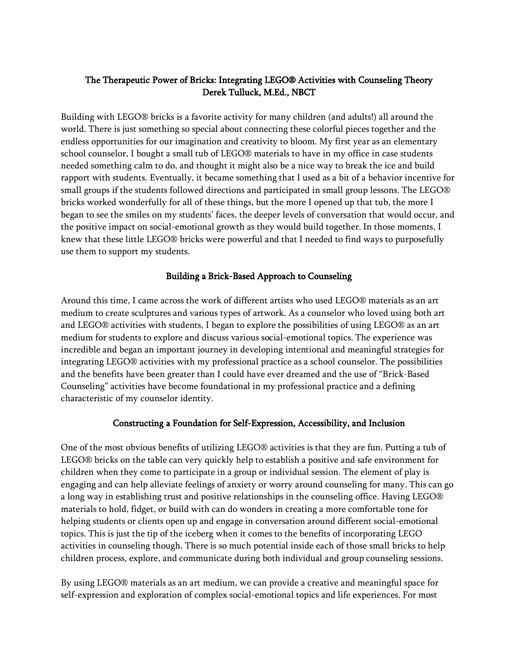# The Therapeutic Power of Bricks: Integrating LEGO® Activities with Counseling Theory Derek Tulluck, M.Ed., NBCT

Building with LEGO® bricks is a favorite activity for many children (and adults!) all around the world. There is just something so special about connecting these colorful pieces together and the endless opportunities for our imagination and creativity to bloom. My first year as an elementary school counselor, I bought a small tub of LEGO® materials to have in my office in case students needed something calm to do, and thought it might also be a nice way to break the ice and build rapport with students. Eventually, it became something that I used as a bit of a behavior incentive for small groups if the students followed directions and participated in small group lessons. The LEGO® bricks worked wonderfully for all of these things, but the more I opened up that tub, the more I began to see the smiles on my students' faces, the deeper levels of conversation that would occur, and the positive impact on social-emotional growth as they would build together. In those moments, I knew that these little LEGO® bricks were powerful and that I needed to find ways to purposefully use them to support my students.

### Building a Brick-Based Approach to Counseling

Around this time, I came across the work of different artists who used LEGO® materials as an art medium to create sculptures and various types of artwork. As a counselor who loved using both art and LEGO® activities with students, I began to explore the possibilities of using LEGO® as an art medium for students to explore and discuss various social-emotional topics. The experience was incredible and began an important journey in developing intentional and meaningful strategies for integrating LEGO® activities with my professional practice as a school counselor. The possibilities and the benefits have been greater than I could have ever dreamed and the use of "Brick-Based Counseling" activities have become foundational in my professional practice and a defining characteristic of my counselor identity.

### Constructing a Foundation for Self-Expression, Accessibility, and Inclusion

One of the most obvious benefits of utilizing LEGO® activities is that they are fun. Putting a tub of LEGO® bricks on the table can very quickly help to establish a positive and safe environment for children when they come to participate in a group or individual session. The element of play is engaging and can help alleviate feelings of anxiety or worry around counseling for many. This can go a long way in establishing trust and positive relationships in the counseling office. Having LEGO® materials to hold, fidget, or build with can do wonders in creating a more comfortable tone for helping students or clients open up and engage in conversation around different social-emotional topics. This is just the tip of the iceberg when it comes to the benefits of incorporating LEGO activities in counseling though. There is so much potential inside each of those small bricks to help children process, explore, and communicate during both individual and group counseling sessions.

By using LEGO® materials as an art medium, we can provide a creative and meaningful space for self-expression and exploration of complex social-emotional topics and life experiences. For most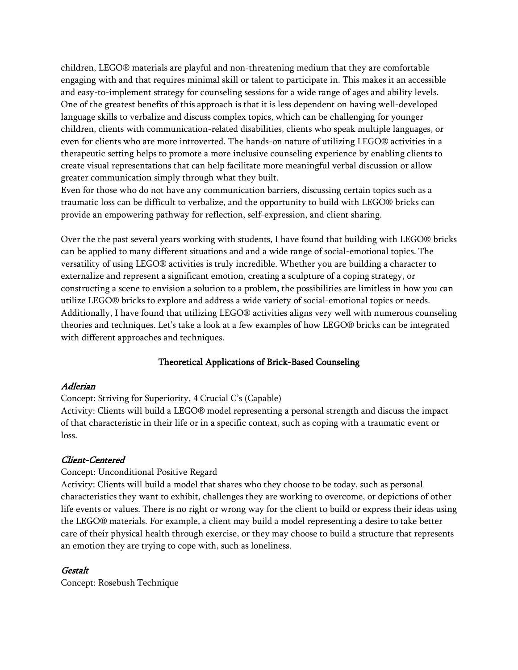children, LEGO® materials are playful and non-threatening medium that they are comfortable engaging with and that requires minimal skill or talent to participate in. This makes it an accessible and easy-to-implement strategy for counseling sessions for a wide range of ages and ability levels. One of the greatest benefits of this approach is that it is less dependent on having well-developed language skills to verbalize and discuss complex topics, which can be challenging for younger children, clients with communication-related disabilities, clients who speak multiple languages, or even for clients who are more introverted. The hands-on nature of utilizing LEGO® activities in a therapeutic setting helps to promote a more inclusive counseling experience by enabling clients to create visual representations that can help facilitate more meaningful verbal discussion or allow greater communication simply through what they built.

Even for those who do not have any communication barriers, discussing certain topics such as a traumatic loss can be difficult to verbalize, and the opportunity to build with LEGO® bricks can provide an empowering pathway for reflection, self-expression, and client sharing.

Over the the past several years working with students, I have found that building with LEGO® bricks can be applied to many different situations and and a wide range of social-emotional topics. The versatility of using LEGO® activities is truly incredible. Whether you are building a character to externalize and represent a significant emotion, creating a sculpture of a coping strategy, or constructing a scene to envision a solution to a problem, the possibilities are limitless in how you can utilize LEGO® bricks to explore and address a wide variety of social-emotional topics or needs. Additionally, I have found that utilizing LEGO® activities aligns very well with numerous counseling theories and techniques. Let's take a look at a few examples of how LEGO® bricks can be integrated with different approaches and techniques.

# Theoretical Applications of Brick-Based Counseling

#### Adlerian

### Concept: Striving for Superiority, 4 Crucial C's (Capable)

Activity: Clients will build a LEGO® model representing a personal strength and discuss the impact of that characteristic in their life or in a specific context, such as coping with a traumatic event or loss.

#### Client-Centered

#### Concept: Unconditional Positive Regard

Activity: Clients will build a model that shares who they choose to be today, such as personal characteristics they want to exhibit, challenges they are working to overcome, or depictions of other life events or values. There is no right or wrong way for the client to build or express their ideas using the LEGO® materials. For example, a client may build a model representing a desire to take better care of their physical health through exercise, or they may choose to build a structure that represents an emotion they are trying to cope with, such as loneliness.

### Gestalt

Concept: Rosebush Technique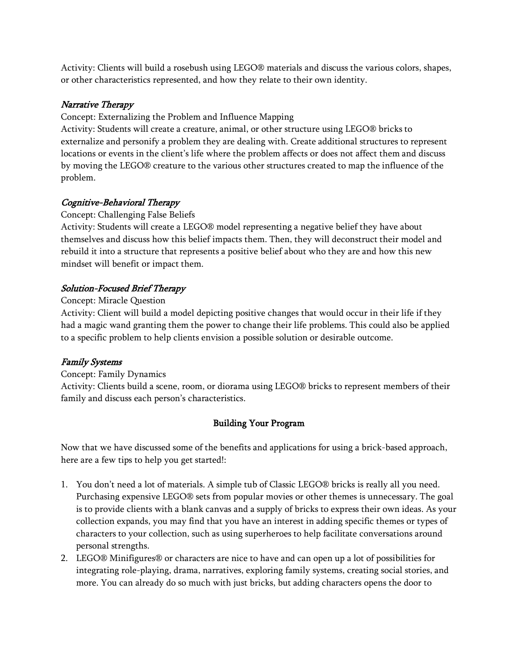Activity: Clients will build a rosebush using LEGO® materials and discuss the various colors, shapes, or other characteristics represented, and how they relate to their own identity.

## Narrative Therapy

Concept: Externalizing the Problem and Influence Mapping

Activity: Students will create a creature, animal, or other structure using LEGO® bricks to externalize and personify a problem they are dealing with. Create additional structures to represent locations or events in the client's life where the problem affects or does not affect them and discuss by moving the LEGO® creature to the various other structures created to map the influence of the problem.

# Cognitive-Behavioral Therapy

## Concept: Challenging False Beliefs

Activity: Students will create a LEGO® model representing a negative belief they have about themselves and discuss how this belief impacts them. Then, they will deconstruct their model and rebuild it into a structure that represents a positive belief about who they are and how this new mindset will benefit or impact them.

# Solution-Focused Brief Therapy

## Concept: Miracle Question

Activity: Client will build a model depicting positive changes that would occur in their life if they had a magic wand granting them the power to change their life problems. This could also be applied to a specific problem to help clients envision a possible solution or desirable outcome.

# Family Systems

# Concept: Family Dynamics

Activity: Clients build a scene, room, or diorama using LEGO® bricks to represent members of their family and discuss each person's characteristics.

# Building Your Program

Now that we have discussed some of the benefits and applications for using a brick-based approach, here are a few tips to help you get started!:

- 1. You don't need a lot of materials. A simple tub of Classic LEGO® bricks is really all you need. Purchasing expensive LEGO® sets from popular movies or other themes is unnecessary. The goal is to provide clients with a blank canvas and a supply of bricks to express their own ideas. As your collection expands, you may find that you have an interest in adding specific themes or types of characters to your collection, such as using superheroes to help facilitate conversations around personal strengths.
- 2. LEGO® Minifigures® or characters are nice to have and can open up a lot of possibilities for integrating role-playing, drama, narratives, exploring family systems, creating social stories, and more. You can already do so much with just bricks, but adding characters opens the door to